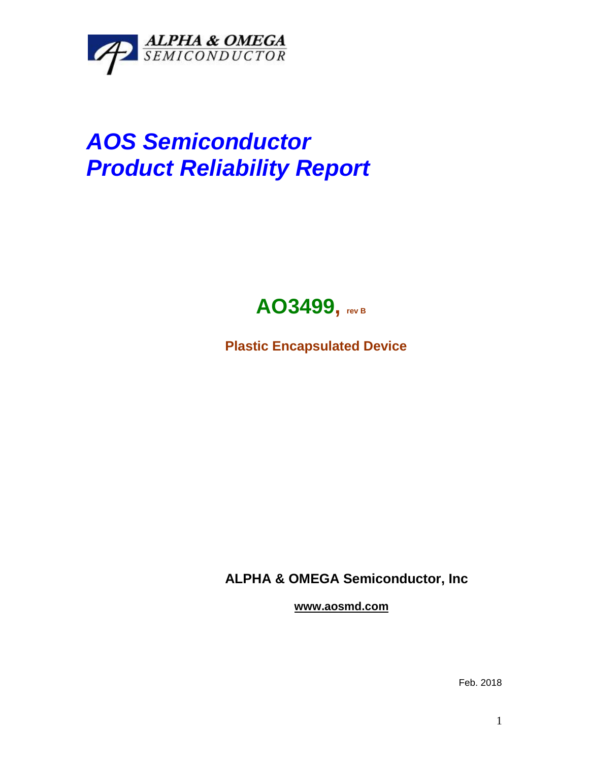

## *AOS Semiconductor Product Reliability Report*



**Plastic Encapsulated Device**

**ALPHA & OMEGA Semiconductor, Inc**

**www.aosmd.com**

Feb. 2018